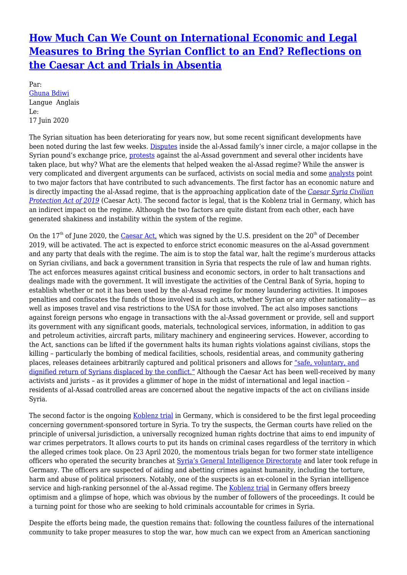## **[How Much Can We Count on International Economic and Legal](http://www.quidjustitiae.ca/fr/node/1689) [Measures to Bring the Syrian Conflict to an End? Reflections on](http://www.quidjustitiae.ca/fr/node/1689) [the Caesar Act and Trials in Absentia](http://www.quidjustitiae.ca/fr/node/1689)**

Par: [Ghuna Bdiwi](http://www.quidjustitiae.ca/fr/contributeurs/ghuna-bdiwi) Langue Anglais Le: 17 Juin 2020

The Syrian situation has been deteriorating for years now, but some recent significant developments have been noted during the last few weeks. [Disputes](https://www.ft.com/content/a135bce8-12ab-408e-a076-a473c58fd6c6) inside the al-Assad family's inner circle, a major collapse in the Syrian pound's exchange price, [protests](https://www.ft.com/content/ca37cf33-8fe3-41b4-8a5c-2b087dd8a17f) against the al-Assad government and several other incidents have taken place, but why? What are the elements that helped weaken the al-Assad regime? While the answer is very complicated and divergent arguments can be surfaced, activists on social media and some [analysts](https://www.cbc.ca/news/world/syria-woes-us-sanctions-1.5609234) point to two major factors that have contributed to such advancements. The first factor has an economic nature and is directly impacting the al-Assad regime, that is the approaching application date of the *[Caesar Syria Civilian](https://www.congress.gov/bill/116th-congress/house-bill/31/text) [Protection Act of 2019](https://www.congress.gov/bill/116th-congress/house-bill/31/text)* (Caesar Act). The second factor is legal, that is the Koblenz trial in Germany, which has an indirect impact on the regime. Although the two factors are quite distant from each other, each have generated shakiness and instability within the system of the regime.

On the  $17<sup>th</sup>$  of June 2020, the [Caesar Act,](https://www.congress.gov/bill/116th-congress/house-bill/31/text) which was signed by the U.S. president on the  $20<sup>th</sup>$  of December 2019, will be activated. The act is expected to enforce strict economic measures on the al-Assad government and any party that deals with the regime. The aim is to stop the fatal war, halt the regime's murderous attacks on Syrian civilians, and back a government transition in Syria that respects the rule of law and human rights. The act enforces measures against critical business and economic sectors, in order to halt transactions and dealings made with the government. It will investigate the activities of the Central Bank of Syria, hoping to establish whether or not it has been used by the al-Assad regime for money laundering activities. It imposes penalties and confiscates the funds of those involved in such acts, whether Syrian or any other nationality— as well as imposes travel and visa restrictions to the USA for those involved. The act also imposes sanctions against foreign persons who engage in transactions with the al-Assad government or provide, sell and support its government with any significant goods, materials, technological services, information, in addition to gas and petroleum activities, aircraft parts, military machinery and engineering services. However, according to the Act, sanctions can be lifted if the government halts its human rights violations against civilians, stops the killing – particularly the bombing of medical facilities, schools, residential areas, and community gathering places, releases detainees arbitrarily captured and political prisoners and allows for ["safe, voluntary, and](https://www.congress.gov/bill/116th-congress/house-bill/31/text) [dignified return of Syrians displaced by the conflict."](https://www.congress.gov/bill/116th-congress/house-bill/31/text) Although the Caesar Act has been well-received by many activists and jurists – as it provides a glimmer of hope in the midst of international and legal inaction – residents of al-Assad controlled areas are concerned about the negative impacts of the act on civilians inside Syria.

The second factor is the ongoing [Koblenz trial](https://www.ecchr.eu/en/case/first-criminal-trial-worldwide-on-torture-in-syria-before-a-german-court/) in Germany, which is considered to be the first legal proceeding concerning government-sponsored torture in Syria. To try the suspects, the German courts have relied on the principle of universal jurisdiction, a universally recognized human rights doctrine that aims to end impunity of war crimes perpetrators. It allows courts to put its hands on criminal cases regardless of the territory in which the alleged crimes took place. On 23 April 2020, the momentous trials began for two former state intelligence officers who operated the security branches at [Syria's General Intelligence Directorate](https://www.hrw.org/report/2015/12/16/if-dead-could-speak/mass-deaths-and-torture-syrias-detention-facilities) and later took refuge in Germany. The officers are suspected of aiding and abetting crimes against humanity, including the torture, harm and abuse of political prisoners. Notably, one of the suspects is an ex-colonel in the Syrian intelligence service and high-ranking personnel of the al-Assad regime. The [Koblenz trial](https://www.ecchr.eu/en/case/first-criminal-trial-worldwide-on-torture-in-syria-before-a-german-court/) in Germany offers breezy optimism and a glimpse of hope, which was obvious by the number of followers of the proceedings. It could be a turning point for those who are seeking to hold criminals accountable for crimes in Syria.

Despite the efforts being made, the question remains that: following the countless failures of the international community to take proper measures to stop the war, how much can we expect from an American sanctioning